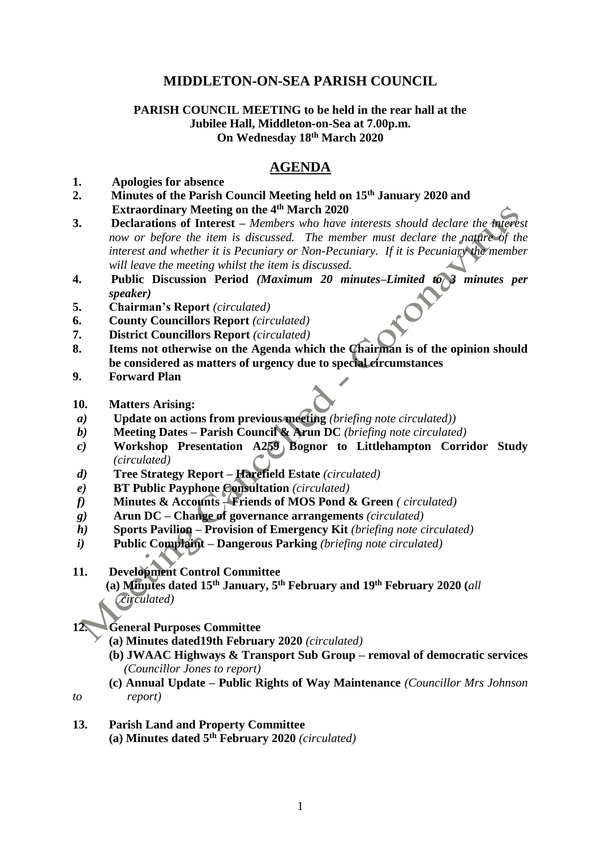# **MIDDLETON-ON-SEA PARISH COUNCIL**

## **PARISH COUNCIL MEETING to be held in the rear hall at the Jubilee Hall, Middleton-on-Sea at 7.00p.m. On Wednesday 18th March 2020**

# **AGENDA**

## **1. Apologies for absence**

- **2. Minutes of the Parish Council Meeting held on 15th January 2020 and Extraordinary Meeting on the 4th March 2020**
- **3. Declarations of Interest –** *Members who have interests should declare the interest now or before the item is discussed. The member must declare the nature of the interest and whether it is Pecuniary or Non-Pecuniary. If it is Pecuniary the member will leave the meeting whilst the item is discussed.*
- **4. Public Discussion Period** *(Maximum 20 minutes–Limited to 3 minutes per speaker)*
- **5. Chairman's Report** *(circulated)*
- **6. County Councillors Report** *(circulated)*
- **7. District Councillors Report** *(circulated)*
- **8. Items not otherwise on the Agenda which the Chairman is of the opinion should be considered as matters of urgency due to special circumstances**
- **9. Forward Plan**
- **10. Matters Arising:**
- *a)* **Update on actions from previous meeting** *(briefing note circulated))*
- *b)* **Meeting Dates – Parish Council & Arun DC** *(briefing note circulated)*
- *c)* **Workshop Presentation A259 Bognor to Littlehampton Corridor Study** *(circulated)*
- *d)* **Tree Strategy Report – Harefield Estate** *(circulated)*
- *e)* **BT Public Payphone Consultation** *(circulated)*
- *f)* **Minutes & Accounts – Friends of MOS Pond & Green** *( circulated)*
- *g)* **Arun DC – Change of governance arrangements** *(circulated)*
- *h)* **Sports Pavilion – Provision of Emergency Kit** *(briefing note circulated)*
- *i)* **Public Complaint – Dangerous Parking** *(briefing note circulated)*
- **11. Development Control Committee**

 **(a) Minutes dated 15th January, 5th February and 19th February 2020 (***all circulated)*

#### **12. General Purposes Committee**

- **(a) Minutes dated19th February 2020** *(circulated)*
- **(b) JWAAC Highways & Transport Sub Group – removal of democratic services** *(Councillor Jones to report)*
- **(c) Annual Update – Public Rights of Way Maintenance** *(Councillor Mrs Johnson to report)*
- 
- **13. Parish Land and Property Committee (a) Minutes dated 5th February 2020** *(circulated)*